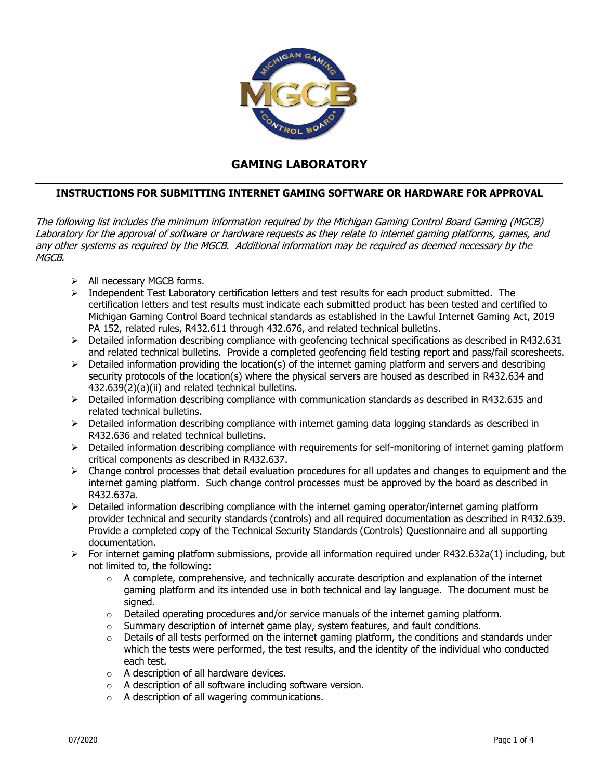

## **GAMING LABORATORY**

## **INSTRUCTIONS FOR SUBMITTING INTERNET GAMING SOFTWARE OR HARDWARE FOR APPROVAL**

The following list includes the minimum information required by the Michigan Gaming Control Board Gaming (MGCB) Laboratory for the approval of software or hardware requests as they relate to internet gaming platforms, games, and any other systems as required by the MGCB. Additional information may be required as deemed necessary by the MGCB.

- $\triangleright$  All necessary MGCB forms.
- $\triangleright$  Independent Test Laboratory certification letters and test results for each product submitted. The certification letters and test results must indicate each submitted product has been tested and certified to Michigan Gaming Control Board technical standards as established in the Lawful Internet Gaming Act, 2019 PA 152, related rules, R432.611 through 432.676, and related technical bulletins.
- $\triangleright$  Detailed information describing compliance with geofencing technical specifications as described in R432.631 and related technical bulletins. Provide a completed geofencing field testing report and pass/fail scoresheets.
- $\triangleright$  Detailed information providing the location(s) of the internet gaming platform and servers and describing security protocols of the location(s) where the physical servers are housed as described in R432.634 and 432.639(2)(a)(ii) and related technical bulletins.
- $\triangleright$  Detailed information describing compliance with communication standards as described in R432.635 and related technical bulletins.
- $\triangleright$  Detailed information describing compliance with internet gaming data logging standards as described in R432.636 and related technical bulletins.
- $\triangleright$  Detailed information describing compliance with requirements for self-monitoring of internet gaming platform critical components as described in R432.637.
- $\triangleright$  Change control processes that detail evaluation procedures for all updates and changes to equipment and the internet gaming platform. Such change control processes must be approved by the board as described in R432.637a.
- $\triangleright$  Detailed information describing compliance with the internet gaming operator/internet gaming platform provider technical and security standards (controls) and all required documentation as described in R432.639. Provide a completed copy of the Technical Security Standards (Controls) Questionnaire and all supporting documentation.
- $\triangleright$  For internet gaming platform submissions, provide all information required under R432.632a(1) including, but not limited to, the following:
	- o A complete, comprehensive, and technically accurate description and explanation of the internet gaming platform and its intended use in both technical and lay language. The document must be signed.
	- $\circ$  Detailed operating procedures and/or service manuals of the internet gaming platform.
	- $\circ$  Summary description of internet game play, system features, and fault conditions.
	- $\circ$  Details of all tests performed on the internet gaming platform, the conditions and standards under which the tests were performed, the test results, and the identity of the individual who conducted each test.
	- $\circ$  A description of all hardware devices.
	- o A description of all software including software version.
	- o A description of all wagering communications.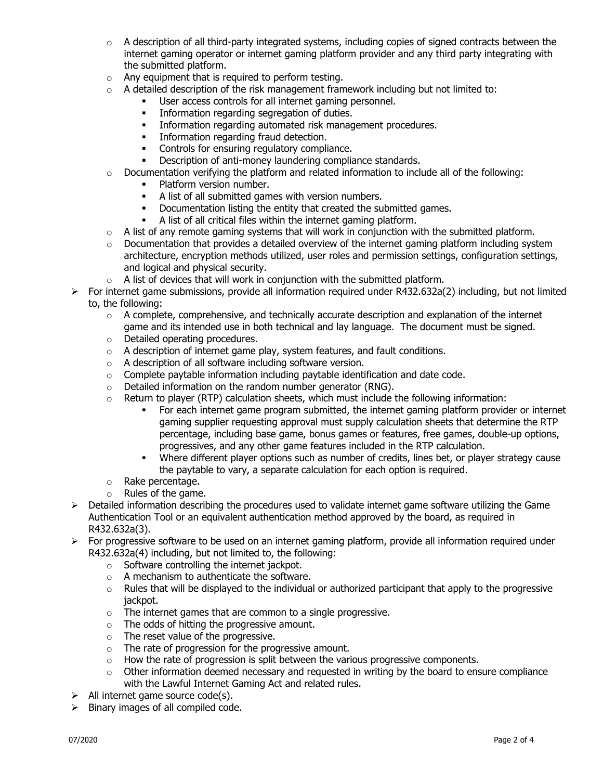- $\circ$  A description of all third-party integrated systems, including copies of signed contracts between the internet gaming operator or internet gaming platform provider and any third party integrating with the submitted platform.
- o Any equipment that is required to perform testing.
- $\circ$  A detailed description of the risk management framework including but not limited to:
	- User access controls for all internet gaming personnel.
	- **Information regarding segregation of duties.**
	- **Information regarding automated risk management procedures.**
	- **Information regarding fraud detection.**
	- Controls for ensuring regulatory compliance.
	- **•** Description of anti-money laundering compliance standards.
- $\circ$  Documentation verifying the platform and related information to include all of the following:
	- Platform version number.
	- A list of all submitted games with version numbers.
	- Documentation listing the entity that created the submitted games.
	- A list of all critical files within the internet gaming platform.
- $\circ$  A list of any remote gaming systems that will work in conjunction with the submitted platform.
- $\circ$  Documentation that provides a detailed overview of the internet gaming platform including system architecture, encryption methods utilized, user roles and permission settings, configuration settings, and logical and physical security.
- $\circ$  A list of devices that will work in conjunction with the submitted platform.
- $\triangleright$  For internet game submissions, provide all information required under R432.632a(2) including, but not limited to, the following:
	- $\circ$  A complete, comprehensive, and technically accurate description and explanation of the internet game and its intended use in both technical and lay language. The document must be signed.
	- o Detailed operating procedures.
	- o A description of internet game play, system features, and fault conditions.
	- o A description of all software including software version.
	- o Complete paytable information including paytable identification and date code.
	- o Detailed information on the random number generator (RNG).
	- $\circ$  Return to player (RTP) calculation sheets, which must include the following information:
		- For each internet game program submitted, the internet gaming platform provider or internet gaming supplier requesting approval must supply calculation sheets that determine the RTP percentage, including base game, bonus games or features, free games, double-up options, progressives, and any other game features included in the RTP calculation.
		- Where different player options such as number of credits, lines bet, or player strategy cause the paytable to vary, a separate calculation for each option is required.
	- o Rake percentage.
	- o Rules of the game.
- $\triangleright$  Detailed information describing the procedures used to validate internet game software utilizing the Game Authentication Tool or an equivalent authentication method approved by the board, as required in R432.632a(3).
- $\triangleright$  For progressive software to be used on an internet gaming platform, provide all information required under R432.632a(4) including, but not limited to, the following:
	- o Software controlling the internet jackpot.
	- o A mechanism to authenticate the software.
	- $\circ$  Rules that will be displayed to the individual or authorized participant that apply to the progressive jackpot.
	- $\circ$  The internet games that are common to a single progressive.
	- o The odds of hitting the progressive amount.
	- o The reset value of the progressive.
	- $\circ$  The rate of progression for the progressive amount.
	- $\circ$  How the rate of progression is split between the various progressive components.
	- $\circ$  Other information deemed necessary and requested in writing by the board to ensure compliance with the Lawful Internet Gaming Act and related rules.
- $\triangleright$  All internet game source code(s).
- $\triangleright$  Binary images of all compiled code.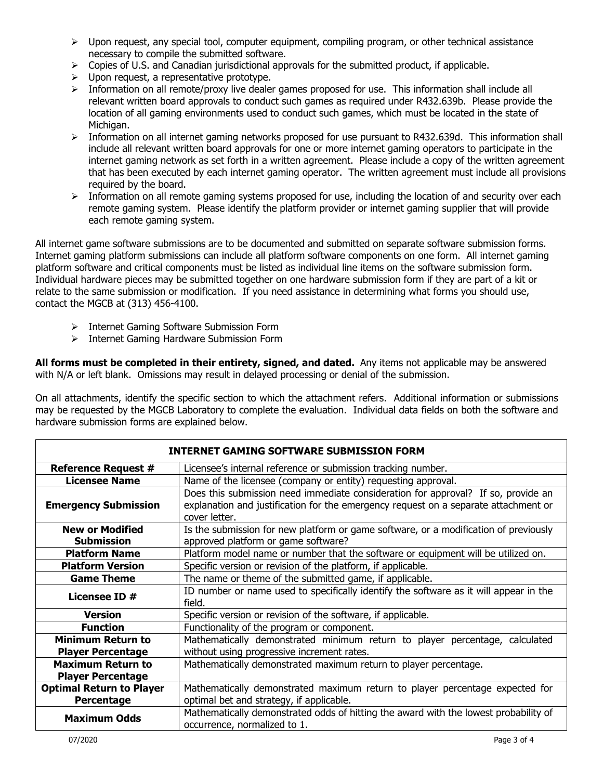- $\triangleright$  Upon request, any special tool, computer equipment, compiling program, or other technical assistance necessary to compile the submitted software.
- $\triangleright$  Copies of U.S. and Canadian jurisdictional approvals for the submitted product, if applicable.
- $\triangleright$  Upon request, a representative prototype.
- $\triangleright$  Information on all remote/proxy live dealer games proposed for use. This information shall include all relevant written board approvals to conduct such games as required under R432.639b. Please provide the location of all gaming environments used to conduct such games, which must be located in the state of Michigan.
- $\triangleright$  Information on all internet gaming networks proposed for use pursuant to R432.639d. This information shall include all relevant written board approvals for one or more internet gaming operators to participate in the internet gaming network as set forth in a written agreement. Please include a copy of the written agreement that has been executed by each internet gaming operator. The written agreement must include all provisions required by the board.
- $\triangleright$  Information on all remote gaming systems proposed for use, including the location of and security over each remote gaming system. Please identify the platform provider or internet gaming supplier that will provide each remote gaming system.

All internet game software submissions are to be documented and submitted on separate software submission forms. Internet gaming platform submissions can include all platform software components on one form. All internet gaming platform software and critical components must be listed as individual line items on the software submission form. Individual hardware pieces may be submitted together on one hardware submission form if they are part of a kit or relate to the same submission or modification. If you need assistance in determining what forms you should use, contact the MGCB at (313) 456-4100.

- $\triangleright$  Internet Gaming Software Submission Form
- $\triangleright$  Internet Gaming Hardware Submission Form

**All forms must be completed in their entirety, signed, and dated.** Any items not applicable may be answered with N/A or left blank. Omissions may result in delayed processing or denial of the submission.

On all attachments, identify the specific section to which the attachment refers. Additional information or submissions may be requested by the MGCB Laboratory to complete the evaluation. Individual data fields on both the software and hardware submission forms are explained below.

| <b>INTERNET GAMING SOFTWARE SUBMISSION FORM</b> |                                                                                                                                                                          |
|-------------------------------------------------|--------------------------------------------------------------------------------------------------------------------------------------------------------------------------|
| <b>Reference Request #</b>                      | Licensee's internal reference or submission tracking number.                                                                                                             |
| <b>Licensee Name</b>                            | Name of the licensee (company or entity) requesting approval.                                                                                                            |
| <b>Emergency Submission</b>                     | Does this submission need immediate consideration for approval? If so, provide an<br>explanation and justification for the emergency request on a separate attachment or |
| <b>New or Modified</b><br><b>Submission</b>     | cover letter.<br>Is the submission for new platform or game software, or a modification of previously<br>approved platform or game software?                             |
| <b>Platform Name</b>                            | Platform model name or number that the software or equipment will be utilized on.                                                                                        |
| <b>Platform Version</b>                         | Specific version or revision of the platform, if applicable.                                                                                                             |
| <b>Game Theme</b>                               | The name or theme of the submitted game, if applicable.                                                                                                                  |
| Licensee ID #                                   | ID number or name used to specifically identify the software as it will appear in the<br>field.                                                                          |
| <b>Version</b>                                  | Specific version or revision of the software, if applicable.                                                                                                             |
| <b>Function</b>                                 | Functionality of the program or component.                                                                                                                               |
| <b>Minimum Return to</b>                        | Mathematically demonstrated minimum return to player percentage, calculated                                                                                              |
| <b>Player Percentage</b>                        | without using progressive increment rates.                                                                                                                               |
| <b>Maximum Return to</b>                        | Mathematically demonstrated maximum return to player percentage.                                                                                                         |
| <b>Player Percentage</b>                        |                                                                                                                                                                          |
| <b>Optimal Return to Player</b>                 | Mathematically demonstrated maximum return to player percentage expected for                                                                                             |
| Percentage                                      | optimal bet and strategy, if applicable.                                                                                                                                 |
| <b>Maximum Odds</b>                             | Mathematically demonstrated odds of hitting the award with the lowest probability of<br>occurrence, normalized to 1.                                                     |